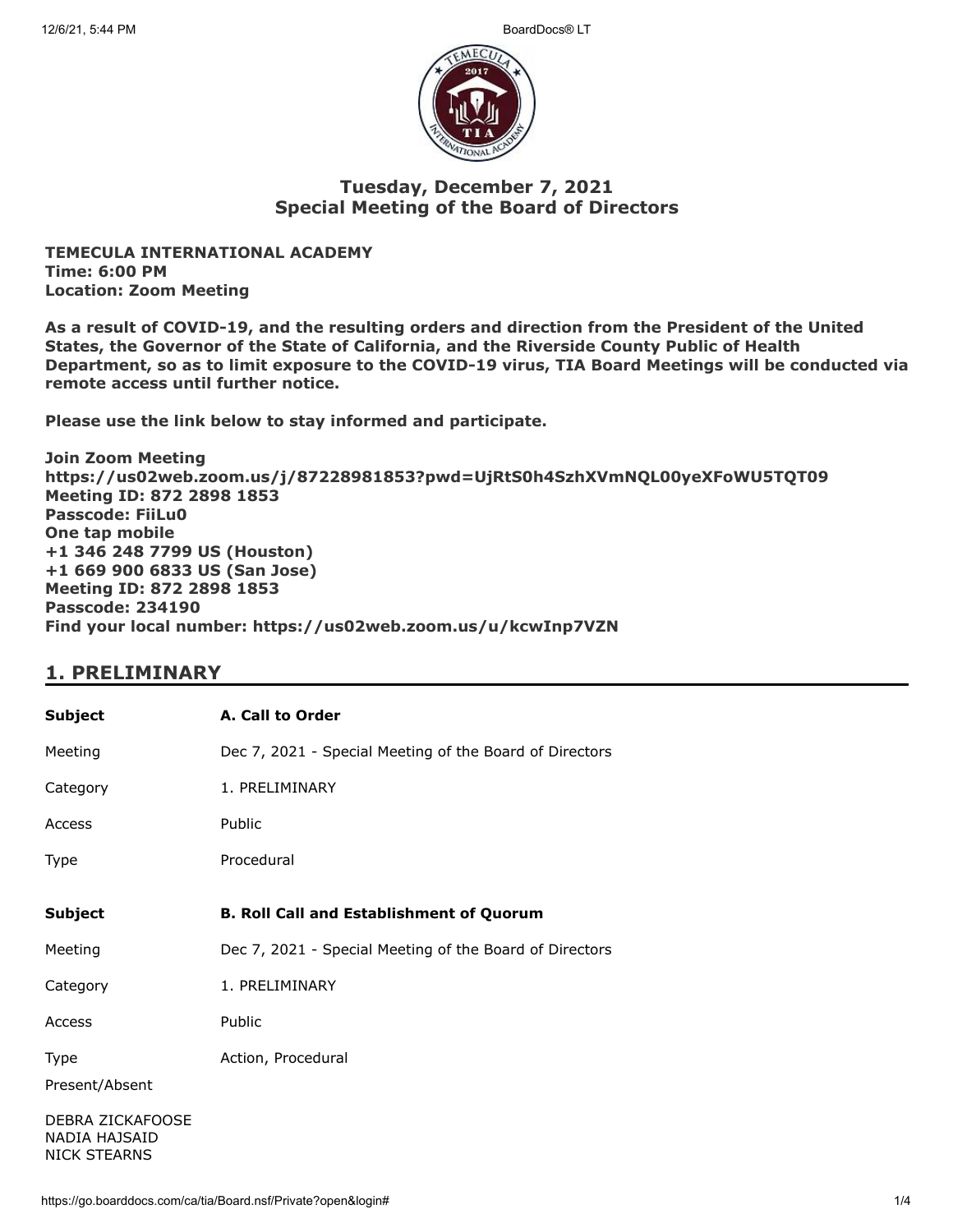

### **Tuesday, December 7, 2021 Special Meeting of the Board of Directors**

**TEMECULA INTERNATIONAL ACADEMY Time: 6:00 PM Location: Zoom Meeting**

**As a result of COVID-19, and the resulting orders and direction from the President of the United States, the Governor of the State of California, and the Riverside County Public of Health Department, so as to limit exposure to the COVID-19 virus, TIA Board Meetings will be conducted via remote access until further notice.**

**Please use the link below to stay informed and participate.** 

**Join Zoom Meeting https://us02web.zoom.us/j/87228981853?pwd=UjRtS0h4SzhXVmNQL00yeXFoWU5TQT09 Meeting ID: 872 2898 1853 Passcode: FiiLu0 One tap mobile +1 346 248 7799 US (Houston) +1 669 900 6833 US (San Jose) Meeting ID: 872 2898 1853 Passcode: 234190 Find your local number: https://us02web.zoom.us/u/kcwInp7VZN**

## **1. PRELIMINARY**

| Subject                                                  | A. Call to Order                                        |
|----------------------------------------------------------|---------------------------------------------------------|
| Meeting                                                  | Dec 7, 2021 - Special Meeting of the Board of Directors |
| Category                                                 | 1. PRELIMINARY                                          |
| Access                                                   | Public                                                  |
| Type                                                     | Procedural                                              |
| <b>Subject</b>                                           | <b>B. Roll Call and Establishment of Quorum</b>         |
| Meeting                                                  | Dec 7, 2021 - Special Meeting of the Board of Directors |
| Category                                                 | 1. PRELIMINARY                                          |
| Access                                                   | Public                                                  |
| Type<br>Present/Absent                                   | Action, Procedural                                      |
| DEBRA ZICKAFOOSE<br>NADIA HAJSAID<br><b>NICK STEARNS</b> |                                                         |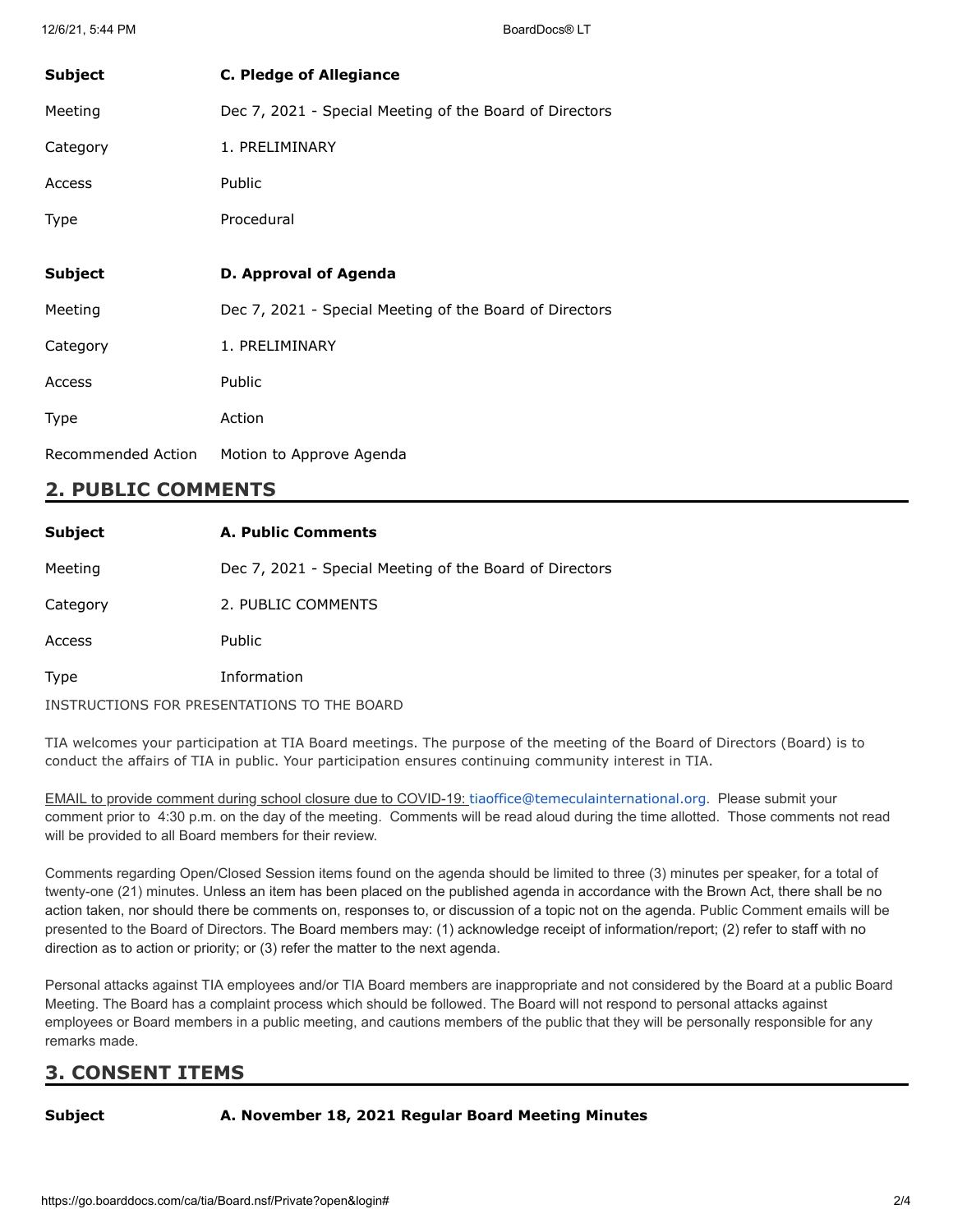| <b>Subject</b> | <b>C. Pledge of Allegiance</b>                          |
|----------------|---------------------------------------------------------|
| Meeting        | Dec 7, 2021 - Special Meeting of the Board of Directors |
| Category       | 1. PRELIMINARY                                          |
| Access         | <b>Public</b>                                           |
| Type           | Procedural                                              |
|                |                                                         |
| Subject        | D. Approval of Agenda                                   |
|                |                                                         |
| Meeting        | Dec 7, 2021 - Special Meeting of the Board of Directors |
| Category       | 1. PRELIMINARY                                          |
| Access         | Public                                                  |
| Type           | Action                                                  |

## **2. PUBLIC COMMENTS**

| <b>Subject</b> | <b>A. Public Comments</b>                               |
|----------------|---------------------------------------------------------|
| Meeting        | Dec 7, 2021 - Special Meeting of the Board of Directors |
| Category       | 2. PUBLIC COMMENTS                                      |
| Access         | <b>Public</b>                                           |
| Type           | Information                                             |
|                | INSTRUCTIONS FOR PRESENTATIONS TO THE BOARD             |

TIA welcomes your participation at TIA Board meetings. The purpose of the meeting of the Board of Directors (Board) is to conduct the affairs of TIA in public. Your participation ensures continuing community interest in TIA.

EMAIL to provide comment during school closure due to COVID-19: [tiaoffice@temeculainternational.org](mailto:tiaoffice@temeculainternational.org). Please submit your comment prior to 4:30 p.m. on the day of the meeting. Comments will be read aloud during the time allotted. Those comments not read will be provided to all Board members for their review.

Comments regarding Open/Closed Session items found on the agenda should be limited to three (3) minutes per speaker, for a total of twenty-one (21) minutes. Unless an item has been placed on the published agenda in accordance with the Brown Act, there shall be no action taken, nor should there be comments on, responses to, or discussion of a topic not on the agenda. Public Comment emails will be presented to the Board of Directors. The Board members may: (1) acknowledge receipt of information/report; (2) refer to staff with no direction as to action or priority; or (3) refer the matter to the next agenda.

Personal attacks against TIA employees and/or TIA Board members are inappropriate and not considered by the Board at a public Board Meeting. The Board has a complaint process which should be followed. The Board will not respond to personal attacks against employees or Board members in a public meeting, and cautions members of the public that they will be personally responsible for any remarks made.

# **3. CONSENT ITEMS**

#### **Subject A. November 18, 2021 Regular Board Meeting Minutes**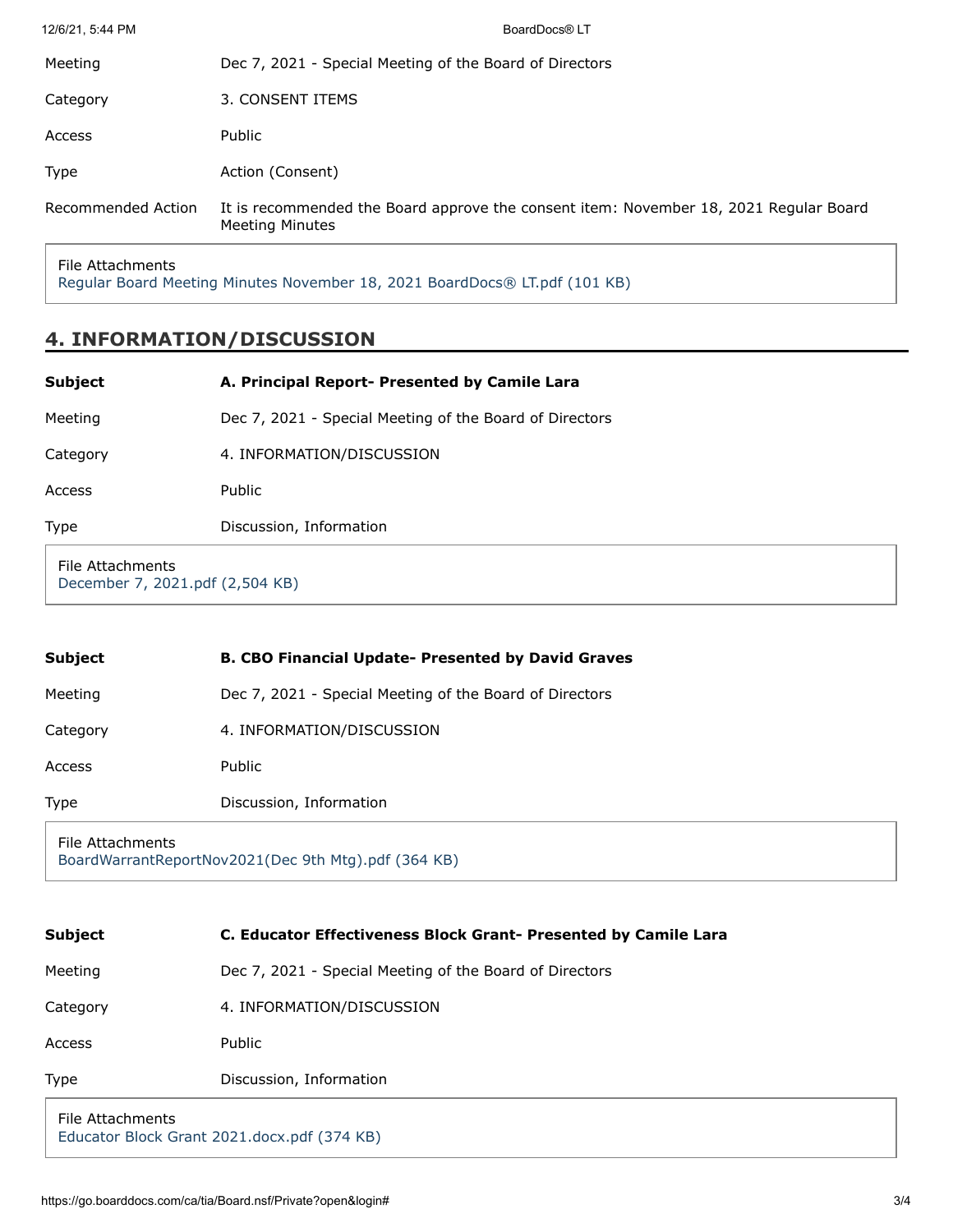| Recommended Action | It is recommended the Board approve the consent item: November 18, 2021 Regular Board<br><b>Meeting Minutes</b> |
|--------------------|-----------------------------------------------------------------------------------------------------------------|
| <b>Type</b>        | Action (Consent)                                                                                                |
| Access             | Public                                                                                                          |
| Category           | 3. CONSENT ITEMS                                                                                                |
| Meeting            | Dec 7, 2021 - Special Meeting of the Board of Directors                                                         |
| 12/6/21, 5:44 PM   | BoardDocs® LT                                                                                                   |

File Attachments

[Regular Board Meeting Minutes November 18, 2021 BoardDocs® LT.pdf \(101 KB\)](https://go.boarddocs.com/ca/tia/Board.nsf/files/C9FU8Z7A3285/$file/Regular%20Board%20Meeting%20Minutes%20November%2018%2C%202021%20BoardDocs%C2%AE%20LT.pdf)

## **4. INFORMATION/DISCUSSION**

| <b>Subject</b>                                      | A. Principal Report- Presented by Camile Lara           |
|-----------------------------------------------------|---------------------------------------------------------|
| Meeting                                             | Dec 7, 2021 - Special Meeting of the Board of Directors |
| Category                                            | 4. INFORMATION/DISCUSSION                               |
| Access                                              | Public                                                  |
| Type                                                | Discussion, Information                                 |
| File Attachments<br>December 7, 2021.pdf (2,504 KB) |                                                         |

| <b>Subject</b>                                                          | <b>B. CBO Financial Update- Presented by David Graves</b> |
|-------------------------------------------------------------------------|-----------------------------------------------------------|
| Meeting                                                                 | Dec 7, 2021 - Special Meeting of the Board of Directors   |
| Category                                                                | 4. INFORMATION/DISCUSSION                                 |
| Access                                                                  | Public                                                    |
| <b>Type</b>                                                             | Discussion, Information                                   |
| File Attachments<br>BoardWarrantReportNov2021(Dec 9th Mtg).pdf (364 KB) |                                                           |

| <b>Subject</b>                                                  | <b>C. Educator Effectiveness Block Grant- Presented by Camile Lara</b> |
|-----------------------------------------------------------------|------------------------------------------------------------------------|
| Meeting                                                         | Dec 7, 2021 - Special Meeting of the Board of Directors                |
| Category                                                        | 4. INFORMATION/DISCUSSION                                              |
| Access                                                          | Public                                                                 |
| <b>Type</b>                                                     | Discussion, Information                                                |
| File Attachments<br>Educator Block Grant 2021.docx.pdf (374 KB) |                                                                        |